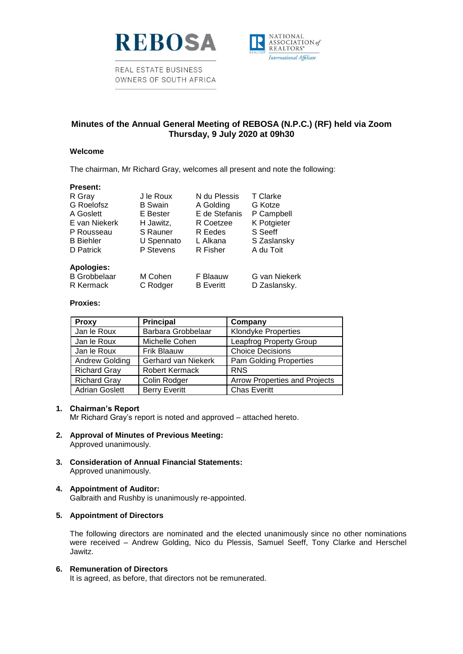

REAL ESTATE BUSINESS OWNERS OF SOUTH AFRICA



## **Minutes of the Annual General Meeting of REBOSA (N.P.C.) (RF) held via Zoom Thursday, 9 July 2020 at 09h30**

### **Welcome**

The chairman, Mr Richard Gray, welcomes all present and note the following:

| <b>Present:</b>     |                |                  |               |
|---------------------|----------------|------------------|---------------|
| R Gray              | J le Roux      | N du Plessis     | T Clarke      |
| G Roelofsz          | <b>B</b> Swain | A Golding        | G Kotze       |
| A Goslett           | E Bester       | E de Stefanis    | P Campbell    |
| E van Niekerk       | H Jawitz,      | R Coetzee        | K Potgieter   |
| P Rousseau          | S Rauner       | R Eedes          | S Seeff       |
| <b>B</b> Biehler    | U Spennato     | L Alkana         | S Zaslansky   |
| D Patrick           | P Stevens      | R Fisher         | A du Toit     |
| <b>Apologies:</b>   |                |                  |               |
| <b>B</b> Grobbelaar | M Cohen        | F Blaauw         | G van Niekerk |
| R Kermack           | C Rodger       | <b>B</b> Everitt | D Zaslansky.  |

### **Proxies:**

| <b>Proxy</b>          | <b>Principal</b>      | Company                              |
|-----------------------|-----------------------|--------------------------------------|
| Jan le Roux           | Barbara Grobbelaar    | <b>Klondyke Properties</b>           |
| Jan le Roux           | Michelle Cohen        | <b>Leapfrog Property Group</b>       |
| Jan le Roux           | <b>Frik Blaauw</b>    | <b>Choice Decisions</b>              |
| <b>Andrew Golding</b> | Gerhard van Niekerk   | <b>Pam Golding Properties</b>        |
| <b>Richard Gray</b>   | <b>Robert Kermack</b> | <b>RNS</b>                           |
| <b>Richard Gray</b>   | Colin Rodger          | <b>Arrow Properties and Projects</b> |
| <b>Adrian Goslett</b> | <b>Berry Everitt</b>  | <b>Chas Everitt</b>                  |

### **1. Chairman's Report**

Mr Richard Gray's report is noted and approved – attached hereto.

- **2. Approval of Minutes of Previous Meeting:** Approved unanimously.
	-
- **3. Consideration of Annual Financial Statements:** Approved unanimously.
- **4. Appointment of Auditor:**

Galbraith and Rushby is unanimously re-appointed.

## **5. Appointment of Directors**

The following directors are nominated and the elected unanimously since no other nominations were received – Andrew Golding, Nico du Plessis, Samuel Seeff, Tony Clarke and Herschel Jawitz.

### **6. Remuneration of Directors**

It is agreed, as before, that directors not be remunerated.